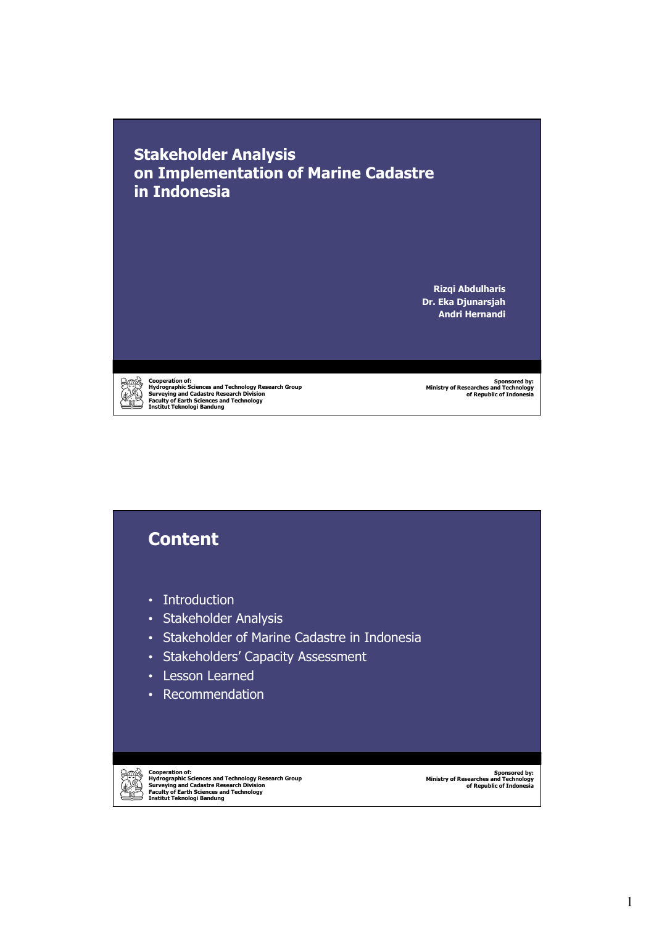**Stakeholder Analysis on Implementation of Marine Cadastre in Indonesia**

> **Rizqi Abdulharis Dr. Eka Djunarsjah Andri Hernandi**



Cooperation of:<br>Hydrographic Sciences and Technology Research Group<br>Surveying and Cadastre Research Division<br>Faculty of Earth Sciences and Technology<br>Institut Teknologi Bandung

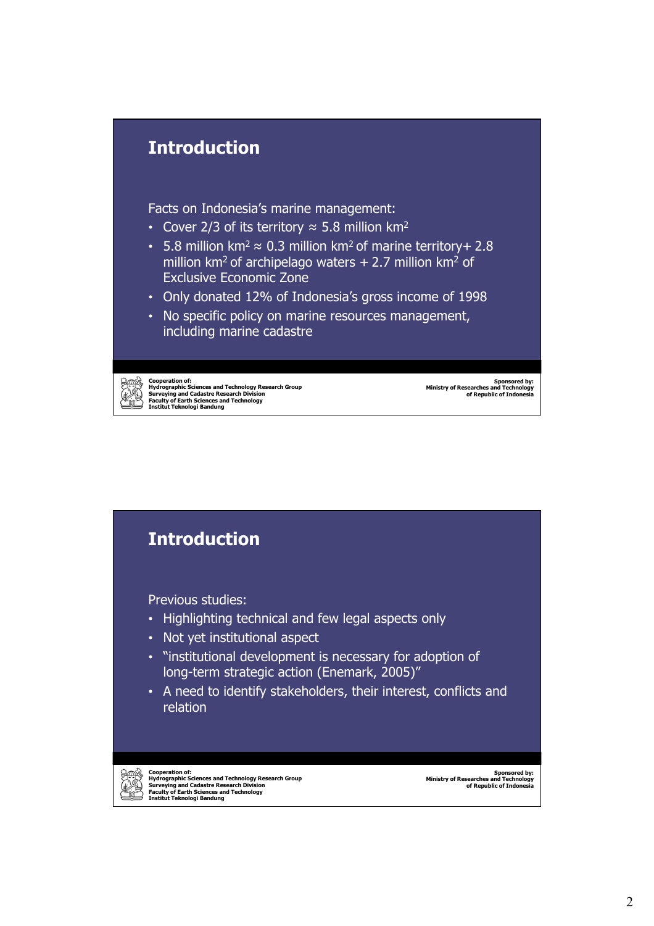

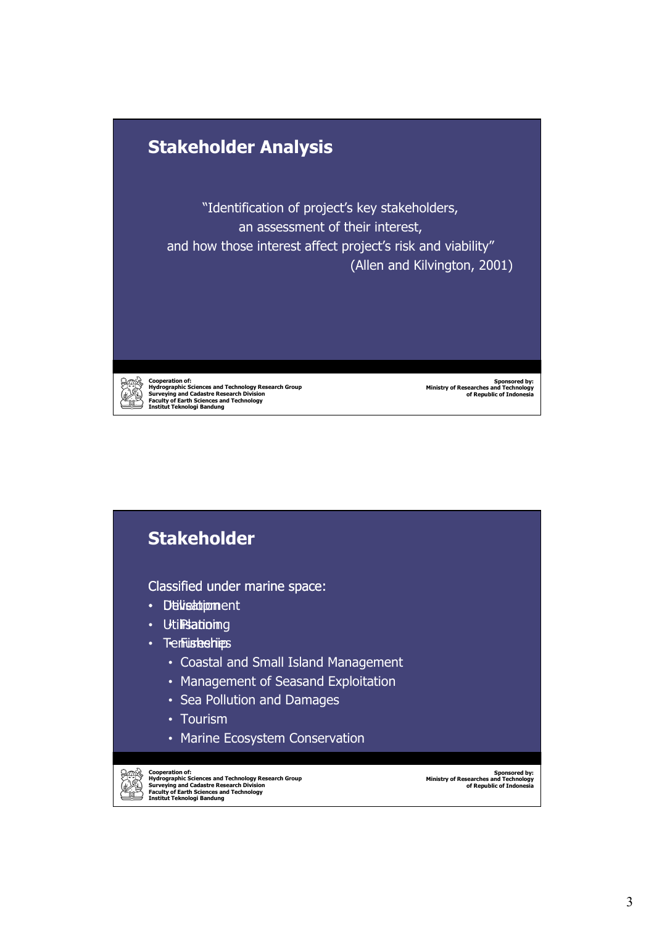

Cooperation of:<br>Hydrographic Sciences and Technology Research Group<br>Surveying and Cadastre Research Division<br>Faculty of Earth Sciences and Technology<br>Institut Teknologi Bandung

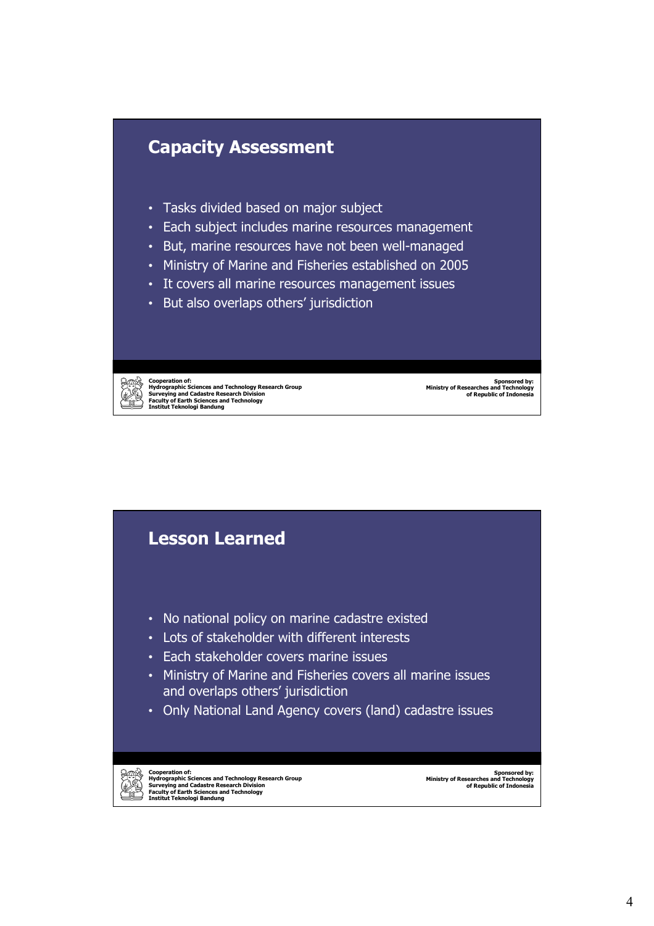

- Tasks divided based on major subject
- Each subject includes marine resources management
- But, marine resources have not been well-managed
- Ministry of Marine and Fisheries established on 2005
- It covers all marine resources management issues
- But also overlaps others' jurisdiction

Cooperation of:<br>Hydrographic Sciences and Technology Research Group<br>Surveying and Cadastre Research Division<br>Faculty of Earth Sciences and Technology<br>Institut Teknologi Bandung